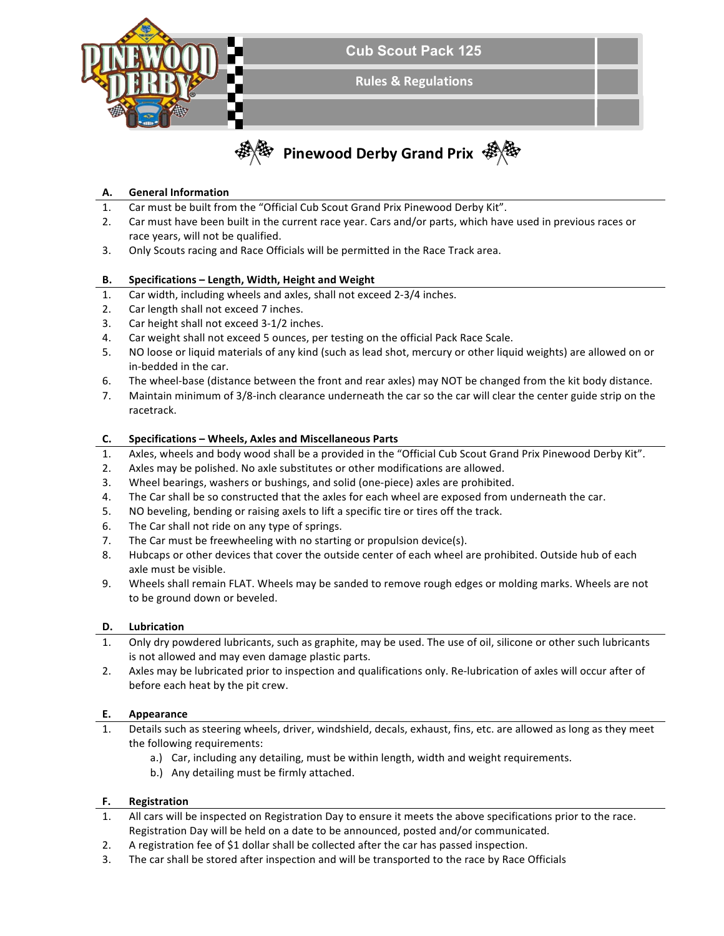

# **A. General Information**

- 1. Car must be built from the "Official Cub Scout Grand Prix Pinewood Derby Kit".
- 2. Car must have been built in the current race year. Cars and/or parts, which have used in previous races or race years, will not be qualified.
- 3. Only Scouts racing and Race Officials will be permitted in the Race Track area.

### **B.** Specifications – Length, Width, Height and Weight

- 1. Car width, including wheels and axles, shall not exceed 2-3/4 inches.
- 2. Car length shall not exceed 7 inches.
- 3. Car height shall not exceed 3-1/2 inches.
- 4. Car weight shall not exceed 5 ounces, per testing on the official Pack Race Scale.
- 5. NO loose or liquid materials of any kind (such as lead shot, mercury or other liquid weights) are allowed on or in-bedded in the car.
- 6. The wheel-base (distance between the front and rear axles) may NOT be changed from the kit body distance.
- 7. Maintain minimum of 3/8-inch clearance underneath the car so the car will clear the center guide strip on the racetrack.

### **C. Specifications – Wheels, Axles and Miscellaneous Parts**

- 1. Axles, wheels and body wood shall be a provided in the "Official Cub Scout Grand Prix Pinewood Derby Kit".
- 2. Axles may be polished. No axle substitutes or other modifications are allowed.
- 3. Wheel bearings, washers or bushings, and solid (one-piece) axles are prohibited.
- 4. The Car shall be so constructed that the axles for each wheel are exposed from underneath the car.
- 5. NO beveling, bending or raising axels to lift a specific tire or tires off the track.
- 6. The Car shall not ride on any type of springs.
- 7. The Car must be freewheeling with no starting or propulsion device(s).
- 8. Hubcaps or other devices that cover the outside center of each wheel are prohibited. Outside hub of each axle must be visible.
- 9. Wheels shall remain FLAT. Wheels may be sanded to remove rough edges or molding marks. Wheels are not to be ground down or beveled.

#### **D. Lubrication**

- 1. Only dry powdered lubricants, such as graphite, may be used. The use of oil, silicone or other such lubricants is not allowed and may even damage plastic parts.
- 2. Axles may be lubricated prior to inspection and qualifications only. Re-lubrication of axles will occur after of before each heat by the pit crew.

#### **E. Appearance**

- 1. Details such as steering wheels, driver, windshield, decals, exhaust, fins, etc. are allowed as long as they meet the following requirements:
	- a.) Car, including any detailing, must be within length, width and weight requirements.
	- b.) Any detailing must be firmly attached.

## **F. Registration**

- 1. All cars will be inspected on Registration Day to ensure it meets the above specifications prior to the race. Registration Day will be held on a date to be announced, posted and/or communicated.
- 2. A registration fee of \$1 dollar shall be collected after the car has passed inspection.
- 3. The car shall be stored after inspection and will be transported to the race by Race Officials